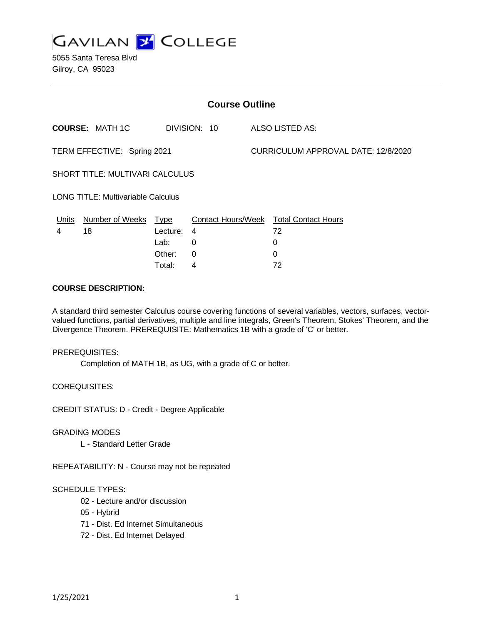

5055 Santa Teresa Blvd Gilroy, CA 95023

| <b>Course Outline</b>                     |                        |             |              |                                     |                                        |
|-------------------------------------------|------------------------|-------------|--------------|-------------------------------------|----------------------------------------|
|                                           | <b>COURSE: MATH 1C</b> |             | DIVISION: 10 |                                     | ALSO LISTED AS:                        |
| TERM EFFECTIVE: Spring 2021               |                        |             |              | CURRICULUM APPROVAL DATE: 12/8/2020 |                                        |
| <b>SHORT TITLE: MULTIVARI CALCULUS</b>    |                        |             |              |                                     |                                        |
| <b>LONG TITLE: Multivariable Calculus</b> |                        |             |              |                                     |                                        |
| <u>Units</u>                              | <b>Number of Weeks</b> | <u>Type</u> |              |                                     | Contact Hours/Week Total Contact Hours |
| 4                                         | 18                     | Lecture:    | 4            |                                     | 72                                     |
|                                           |                        | Lab:        | 0            |                                     | 0                                      |
|                                           |                        | Other:      | 0            |                                     | 0                                      |
|                                           |                        | Total:      | 4            |                                     | 72                                     |

#### **COURSE DESCRIPTION:**

A standard third semester Calculus course covering functions of several variables, vectors, surfaces, vectorvalued functions, partial derivatives, multiple and line integrals, Green's Theorem, Stokes' Theorem, and the Divergence Theorem. PREREQUISITE: Mathematics 1B with a grade of 'C' or better.

PREREQUISITES:

Completion of MATH 1B, as UG, with a grade of C or better.

COREQUISITES:

CREDIT STATUS: D - Credit - Degree Applicable

GRADING MODES

L - Standard Letter Grade

REPEATABILITY: N - Course may not be repeated

## SCHEDULE TYPES:

- 02 Lecture and/or discussion
- 05 Hybrid
- 71 Dist. Ed Internet Simultaneous
- 72 Dist. Ed Internet Delayed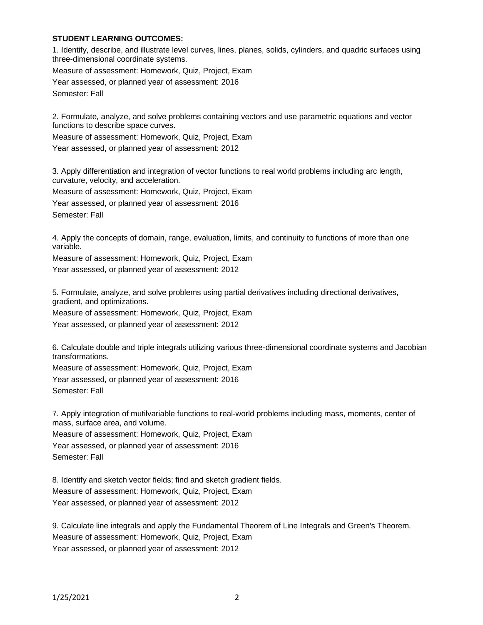## **STUDENT LEARNING OUTCOMES:**

1. Identify, describe, and illustrate level curves, lines, planes, solids, cylinders, and quadric surfaces using three-dimensional coordinate systems.

Measure of assessment: Homework, Quiz, Project, Exam

Year assessed, or planned year of assessment: 2016

Semester: Fall

2. Formulate, analyze, and solve problems containing vectors and use parametric equations and vector functions to describe space curves.

Measure of assessment: Homework, Quiz, Project, Exam

Year assessed, or planned year of assessment: 2012

3. Apply differentiation and integration of vector functions to real world problems including arc length, curvature, velocity, and acceleration.

Measure of assessment: Homework, Quiz, Project, Exam

Year assessed, or planned year of assessment: 2016 Semester: Fall

4. Apply the concepts of domain, range, evaluation, limits, and continuity to functions of more than one variable.

Measure of assessment: Homework, Quiz, Project, Exam Year assessed, or planned year of assessment: 2012

5. Formulate, analyze, and solve problems using partial derivatives including directional derivatives, gradient, and optimizations.

Measure of assessment: Homework, Quiz, Project, Exam Year assessed, or planned year of assessment: 2012

6. Calculate double and triple integrals utilizing various three-dimensional coordinate systems and Jacobian transformations.

Measure of assessment: Homework, Quiz, Project, Exam

Year assessed, or planned year of assessment: 2016 Semester: Fall

7. Apply integration of mutilvariable functions to real-world problems including mass, moments, center of mass, surface area, and volume.

Measure of assessment: Homework, Quiz, Project, Exam

Year assessed, or planned year of assessment: 2016

Semester: Fall

8. Identify and sketch vector fields; find and sketch gradient fields. Measure of assessment: Homework, Quiz, Project, Exam Year assessed, or planned year of assessment: 2012

9. Calculate line integrals and apply the Fundamental Theorem of Line Integrals and Green's Theorem. Measure of assessment: Homework, Quiz, Project, Exam Year assessed, or planned year of assessment: 2012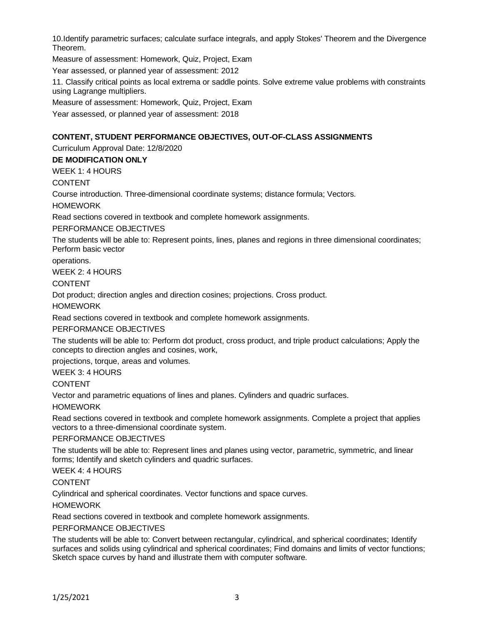10.Identify parametric surfaces; calculate surface integrals, and apply Stokes' Theorem and the Divergence Theorem.

Measure of assessment: Homework, Quiz, Project, Exam

Year assessed, or planned year of assessment: 2012

11. Classify critical points as local extrema or saddle points. Solve extreme value problems with constraints using Lagrange multipliers.

Measure of assessment: Homework, Quiz, Project, Exam

Year assessed, or planned year of assessment: 2018

## **CONTENT, STUDENT PERFORMANCE OBJECTIVES, OUT-OF-CLASS ASSIGNMENTS**

Curriculum Approval Date: 12/8/2020

## **DE MODIFICATION ONLY**

WEEK 1: 4 HOURS

## CONTENT

Course introduction. Three-dimensional coordinate systems; distance formula; Vectors.

**HOMEWORK** 

Read sections covered in textbook and complete homework assignments.

#### PERFORMANCE OBJECTIVES

The students will be able to: Represent points, lines, planes and regions in three dimensional coordinates; Perform basic vector

operations.

WEEK 2: 4 HOURS

## CONTENT

Dot product; direction angles and direction cosines; projections. Cross product.

#### HOMEWORK

Read sections covered in textbook and complete homework assignments.

#### PERFORMANCE OBJECTIVES

The students will be able to: Perform dot product, cross product, and triple product calculations; Apply the concepts to direction angles and cosines, work,

projections, torque, areas and volumes.

WEEK 3: 4 HOURS

#### CONTENT

Vector and parametric equations of lines and planes. Cylinders and quadric surfaces.

#### HOMEWORK

Read sections covered in textbook and complete homework assignments. Complete a project that applies vectors to a three-dimensional coordinate system.

#### PERFORMANCE OBJECTIVES

The students will be able to: Represent lines and planes using vector, parametric, symmetric, and linear forms; Identify and sketch cylinders and quadric surfaces.

WEEK 4: 4 HOURS

#### CONTENT

Cylindrical and spherical coordinates. Vector functions and space curves.

HOMEWORK

Read sections covered in textbook and complete homework assignments.

## PERFORMANCE OBJECTIVES

The students will be able to: Convert between rectangular, cylindrical, and spherical coordinates; Identify surfaces and solids using cylindrical and spherical coordinates; Find domains and limits of vector functions; Sketch space curves by hand and illustrate them with computer software.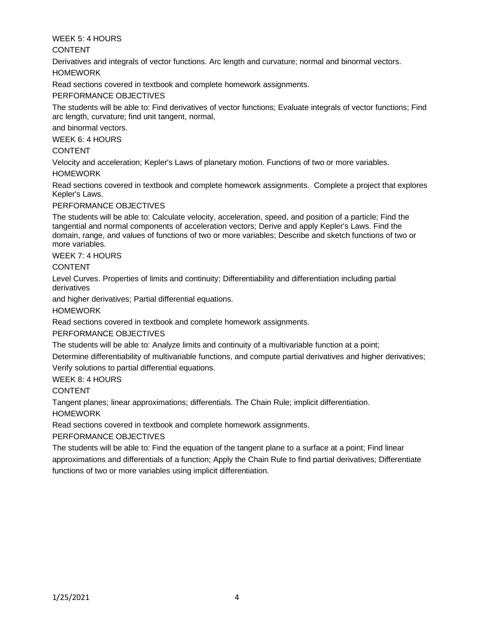## WEEK 5: 4 HOURS

## CONTENT

Derivatives and integrals of vector functions. Arc length and curvature; normal and binormal vectors. HOMEWORK

Read sections covered in textbook and complete homework assignments.

# PERFORMANCE OBJECTIVES

The students will be able to: Find derivatives of vector functions; Evaluate integrals of vector functions; Find arc length, curvature; find unit tangent, normal,

and binormal vectors.

WEEK 6: 4 HOURS

# CONTENT

Velocity and acceleration; Kepler's Laws of planetary motion. Functions of two or more variables.

## HOMEWORK

Read sections covered in textbook and complete homework assignments. Complete a project that explores Kepler's Laws.

## PERFORMANCE OBJECTIVES

The students will be able to: Calculate velocity, acceleration, speed, and position of a particle; Find the tangential and normal components of acceleration vectors; Derive and apply Kepler's Laws. Find the domain, range, and values of functions of two or more variables; Describe and sketch functions of two or more variables.

## WEEK 7: 4 HOURS

## CONTENT

Level Curves. Properties of limits and continuity; Differentiability and differentiation including partial derivatives

and higher derivatives; Partial differential equations.

HOMEWORK

Read sections covered in textbook and complete homework assignments.

# PERFORMANCE OBJECTIVES

The students will be able to: Analyze limits and continuity of a multivariable function at a point;

Determine differentiability of multivariable functions, and compute partial derivatives and higher derivatives; Verify solutions to partial differential equations.

WEEK 8: 4 HOURS

CONTENT

Tangent planes; linear approximations; differentials. The Chain Rule; implicit differentiation.

HOMEWORK

Read sections covered in textbook and complete homework assignments.

PERFORMANCE OBJECTIVES

The students will be able to: Find the equation of the tangent plane to a surface at a point; Find linear approximations and differentials of a function; Apply the Chain Rule to find partial derivatives; Differentiate functions of two or more variables using implicit differentiation.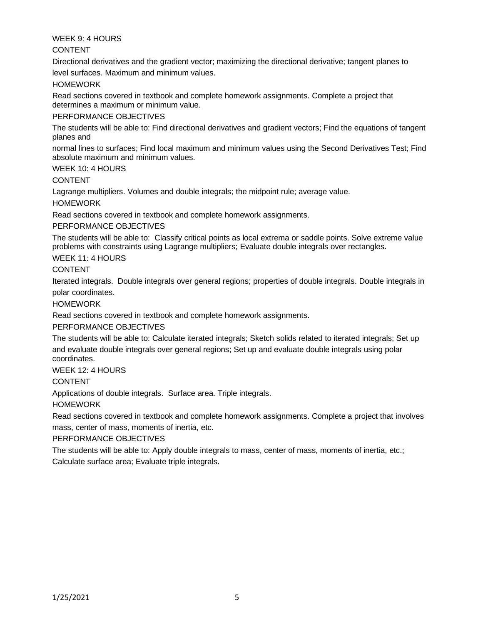## WEEK 9: 4 HOURS

## CONTENT

Directional derivatives and the gradient vector; maximizing the directional derivative; tangent planes to level surfaces. Maximum and minimum values.

HOMEWORK

Read sections covered in textbook and complete homework assignments. Complete a project that determines a maximum or minimum value.

## PERFORMANCE OBJECTIVES

The students will be able to: Find directional derivatives and gradient vectors; Find the equations of tangent planes and

normal lines to surfaces; Find local maximum and minimum values using the Second Derivatives Test; Find absolute maximum and minimum values.

## WEEK 10: 4 HOURS

## CONTENT

Lagrange multipliers. Volumes and double integrals; the midpoint rule; average value.

## HOMEWORK

Read sections covered in textbook and complete homework assignments.

## PERFORMANCE OBJECTIVES

The students will be able to: Classify critical points as local extrema or saddle points. Solve extreme value problems with constraints using Lagrange multipliers; Evaluate double integrals over rectangles.

## WEEK 11: 4 HOURS

## CONTENT

Iterated integrals. Double integrals over general regions; properties of double integrals. Double integrals in polar coordinates.

#### **HOMEWORK**

Read sections covered in textbook and complete homework assignments.

## PERFORMANCE OBJECTIVES

The students will be able to: Calculate iterated integrals; Sketch solids related to iterated integrals; Set up and evaluate double integrals over general regions; Set up and evaluate double integrals using polar coordinates.

## WEEK 12: 4 HOURS

CONTENT

Applications of double integrals. Surface area. Triple integrals.

## HOMEWORK

Read sections covered in textbook and complete homework assignments. Complete a project that involves mass, center of mass, moments of inertia, etc.

## PERFORMANCE OBJECTIVES

The students will be able to: Apply double integrals to mass, center of mass, moments of inertia, etc.; Calculate surface area; Evaluate triple integrals.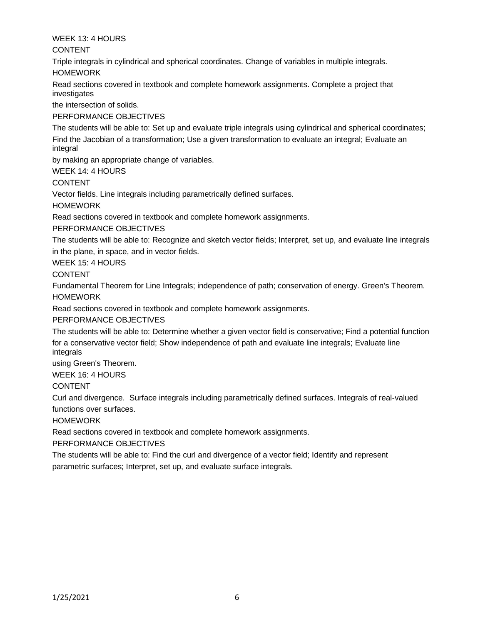WEEK 13: 4 HOURS

CONTENT

Triple integrals in cylindrical and spherical coordinates. Change of variables in multiple integrals. HOMEWORK

Read sections covered in textbook and complete homework assignments. Complete a project that investigates

the intersection of solids.

PERFORMANCE OBJECTIVES

The students will be able to: Set up and evaluate triple integrals using cylindrical and spherical coordinates; Find the Jacobian of a transformation; Use a given transformation to evaluate an integral; Evaluate an integral

by making an appropriate change of variables.

WEEK 14: 4 HOURS

CONTENT

Vector fields. Line integrals including parametrically defined surfaces.

**HOMEWORK** 

Read sections covered in textbook and complete homework assignments.

PERFORMANCE OBJECTIVES

The students will be able to: Recognize and sketch vector fields; Interpret, set up, and evaluate line integrals in the plane, in space, and in vector fields.

WEEK 15: 4 HOURS

CONTENT

Fundamental Theorem for Line Integrals; independence of path; conservation of energy. Green's Theorem. HOMEWORK

Read sections covered in textbook and complete homework assignments.

PERFORMANCE OBJECTIVES

The students will be able to: Determine whether a given vector field is conservative; Find a potential function for a conservative vector field; Show independence of path and evaluate line integrals; Evaluate line integrals

using Green's Theorem.

WEEK 16: 4 HOURS

CONTENT

Curl and divergence. Surface integrals including parametrically defined surfaces. Integrals of real-valued functions over surfaces.

HOMEWORK

Read sections covered in textbook and complete homework assignments.

PERFORMANCE OBJECTIVES

The students will be able to: Find the curl and divergence of a vector field; Identify and represent parametric surfaces; Interpret, set up, and evaluate surface integrals.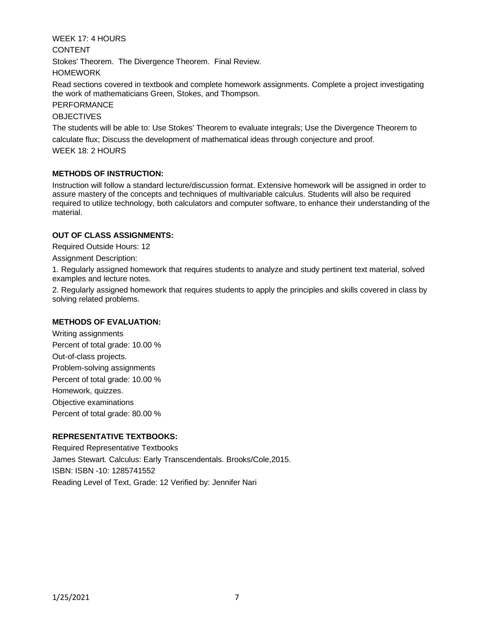WEEK 17: 4 HOURS CONTENT Stokes' Theorem. The Divergence Theorem. Final Review. HOMEWORK

Read sections covered in textbook and complete homework assignments. Complete a project investigating the work of mathematicians Green, Stokes, and Thompson.

# PERFORMANCE

#### **OBJECTIVES**

The students will be able to: Use Stokes' Theorem to evaluate integrals; Use the Divergence Theorem to calculate flux; Discuss the development of mathematical ideas through conjecture and proof.

WEEK 18: 2 HOURS

## **METHODS OF INSTRUCTION:**

Instruction will follow a standard lecture/discussion format. Extensive homework will be assigned in order to assure mastery of the concepts and techniques of multivariable calculus. Students will also be required required to utilize technology, both calculators and computer software, to enhance their understanding of the material.

## **OUT OF CLASS ASSIGNMENTS:**

Required Outside Hours: 12

Assignment Description:

1. Regularly assigned homework that requires students to analyze and study pertinent text material, solved examples and lecture notes.

2. Regularly assigned homework that requires students to apply the principles and skills covered in class by solving related problems.

## **METHODS OF EVALUATION:**

Writing assignments Percent of total grade: 10.00 % Out-of-class projects. Problem-solving assignments Percent of total grade: 10.00 % Homework, quizzes. Objective examinations Percent of total grade: 80.00 %

# **REPRESENTATIVE TEXTBOOKS:**

Required Representative Textbooks James Stewart. Calculus: Early Transcendentals. Brooks/Cole,2015. ISBN: ISBN -10: 1285741552 Reading Level of Text, Grade: 12 Verified by: Jennifer Nari